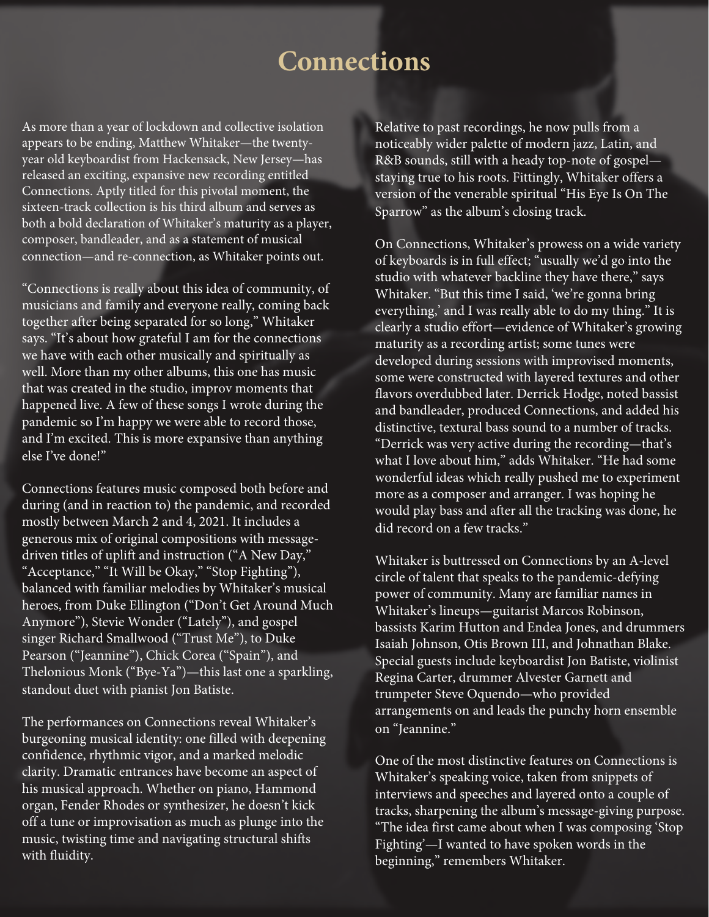As more than a year of lockdown and collective isolation appears to be ending, Matthew Whitaker—the twentyyear old keyboardist from Hackensack, New Jersey—has released an exciting, expansive new recording entitled Connections. Aptly titled for this pivotal moment, the sixteen-track collection is his third album and serves as both a bold declaration of Whitaker's maturity as a player, composer, bandleader, and as a statement of musical connection—and re-connection, as Whitaker points out.

"Connections is really about this idea of community, of musicians and family and everyone really, coming back together after being separated for so long," Whitaker says. "It's about how grateful I am for the connections we have with each other musically and spiritually as well. More than my other albums, this one has music that was created in the studio, improv moments that happened live. A few of these songs I wrote during the pandemic so I'm happy we were able to record those, and I'm excited. This is more expansive than anything else I've done!"

Connections features music composed both before and during (and in reaction to) the pandemic, and recorded mostly between March 2 and 4, 2021. It includes a generous mix of original compositions with messagedriven titles of uplift and instruction ("A New Day," "Acceptance," "It Will be Okay," "Stop Fighting"), balanced with familiar melodies by Whitaker's musical heroes, from Duke Ellington ("Don't Get Around Much Anymore"), Stevie Wonder ("Lately"), and gospel singer Richard Smallwood ("Trust Me"), to Duke Pearson ("Jeannine"), Chick Corea ("Spain"), and Thelonious Monk ("Bye-Ya")—this last one a sparkling, standout duet with pianist Jon Batiste.

The performances on Connections reveal Whitaker's burgeoning musical identity: one filled with deepening confidence, rhythmic vigor, and a marked melodic clarity. Dramatic entrances have become an aspect of his musical approach. Whether on piano, Hammond organ, Fender Rhodes or synthesizer, he doesn't kick off a tune or improvisation as much as plunge into the music, twisting time and navigating structural shifts with fluidity.

Relative to past recordings, he now pulls from a noticeably wider palette of modern jazz, Latin, and R&B sounds, still with a heady top-note of gospel staying true to his roots. Fittingly, Whitaker offers a version of the venerable spiritual "His Eye Is On The Sparrow" as the album's closing track.

On Connections, Whitaker's prowess on a wide variety of keyboards is in full effect; "usually we'd go into the studio with whatever backline they have there," says Whitaker. "But this time I said, 'we're gonna bring everything,' and I was really able to do my thing." It is clearly a studio effort—evidence of Whitaker's growing maturity as a recording artist; some tunes were developed during sessions with improvised moments, some were constructed with layered textures and other flavors overdubbed later. Derrick Hodge, noted bassist and bandleader, produced Connections, and added his distinctive, textural bass sound to a number of tracks. "Derrick was very active during the recording—that's what I love about him," adds Whitaker. "He had some wonderful ideas which really pushed me to experiment more as a composer and arranger. I was hoping he would play bass and after all the tracking was done, he did record on a few tracks."

Whitaker is buttressed on Connections by an A-level circle of talent that speaks to the pandemic-defying power of community. Many are familiar names in Whitaker's lineups—guitarist Marcos Robinson, bassists Karim Hutton and Endea Jones, and drummers Isaiah Johnson, Otis Brown III, and Johnathan Blake. Special guests include keyboardist Jon Batiste, violinist Regina Carter, drummer Alvester Garnett and trumpeter Steve Oquendo—who provided arrangements on and leads the punchy horn ensemble on "Jeannine."

One of the most distinctive features on Connections is Whitaker's speaking voice, taken from snippets of interviews and speeches and layered onto a couple of tracks, sharpening the album's message-giving purpose. "The idea first came about when I was composing 'Stop Fighting'—I wanted to have spoken words in the beginning," remembers Whitaker.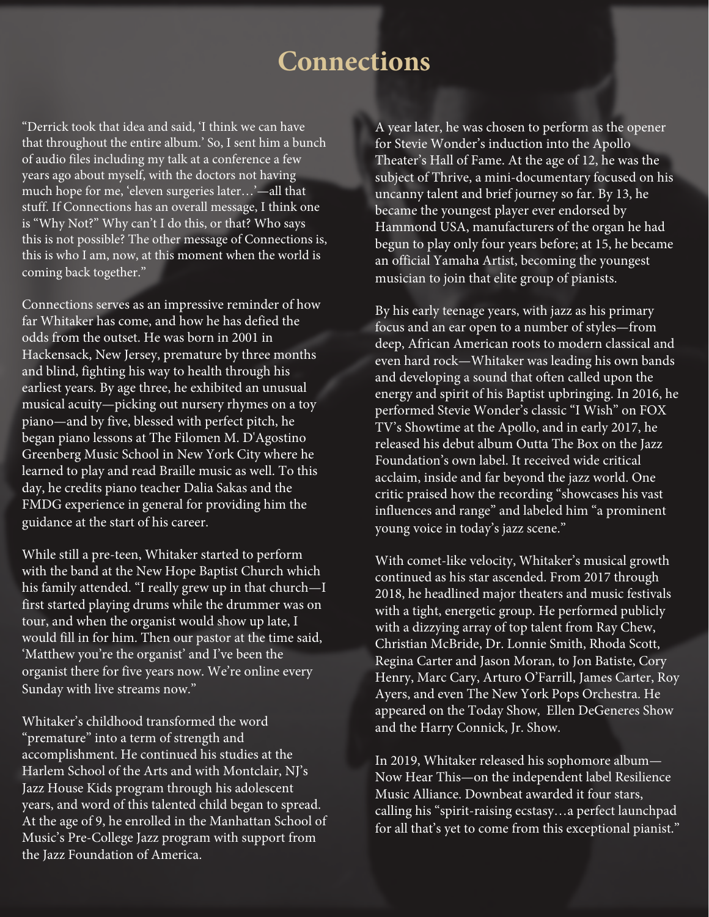"Derrick took that idea and said, 'I think we can have that throughout the entire album.' So, I sent him a bunch of audio files including my talk at a conference a few years ago about myself, with the doctors not having much hope for me, 'eleven surgeries later…'—all that stuff. If Connections has an overall message, I think one is "Why Not?" Why can't I do this, or that? Who says this is not possible? The other message of Connections is, this is who I am, now, at this moment when the world is coming back together."

Connections serves as an impressive reminder of how far Whitaker has come, and how he has defied the odds from the outset. He was born in 2001 in Hackensack, New Jersey, premature by three months and blind, fighting his way to health through his earliest years. By age three, he exhibited an unusual musical acuity—picking out nursery rhymes on a toy piano—and by five, blessed with perfect pitch, he began piano lessons at The Filomen M. D'Agostino Greenberg Music School in New York City where he learned to play and read Braille music as well. To this day, he credits piano teacher Dalia Sakas and the FMDG experience in general for providing him the guidance at the start of his career.

While still a pre-teen, Whitaker started to perform with the band at the New Hope Baptist Church which his family attended. "I really grew up in that church—I first started playing drums while the drummer was on tour, and when the organist would show up late, I would fill in for him. Then our pastor at the time said, 'Matthew you're the organist' and I've been the organist there for five years now. We're online every Sunday with live streams now."

Whitaker's childhood transformed the word "premature" into a term of strength and accomplishment. He continued his studies at the Harlem School of the Arts and with Montclair, NJ's Jazz House Kids program through his adolescent years, and word of this talented child began to spread. At the age of 9, he enrolled in the Manhattan School of Music's Pre-College Jazz program with support from the Jazz Foundation of America.

A year later, he was chosen to perform as the opener for Stevie Wonder's induction into the Apollo Theater's Hall of Fame. At the age of 12, he was the subject of Thrive, a mini-documentary focused on his uncanny talent and brief journey so far. By 13, he became the youngest player ever endorsed by Hammond USA, manufacturers of the organ he had begun to play only four years before; at 15, he became an official Yamaha Artist, becoming the youngest musician to join that elite group of pianists.

By his early teenage years, with jazz as his primary focus and an ear open to a number of styles—from deep, African American roots to modern classical and even hard rock—Whitaker was leading his own bands and developing a sound that often called upon the energy and spirit of his Baptist upbringing. In 2016, he performed Stevie Wonder's classic "I Wish" on FOX TV's Showtime at the Apollo, and in early 2017, he released his debut album Outta The Box on the Jazz Foundation's own label. It received wide critical acclaim, inside and far beyond the jazz world. One critic praised how the recording "showcases his vast influences and range" and labeled him "a prominent young voice in today's jazz scene."

With comet-like velocity, Whitaker's musical growth continued as his star ascended. From 2017 through 2018, he headlined major theaters and music festivals with a tight, energetic group. He performed publicly with a dizzying array of top talent from Ray Chew, Christian McBride, Dr. Lonnie Smith, Rhoda Scott, Regina Carter and Jason Moran, to Jon Batiste, Cory Henry, Marc Cary, Arturo O'Farrill, James Carter, Roy Ayers, and even The New York Pops Orchestra. He appeared on the Today Show, Ellen DeGeneres Show and the Harry Connick, Jr. Show.

In 2019, Whitaker released his sophomore album— Now Hear This—on the independent label Resilience Music Alliance. Downbeat awarded it four stars, calling his "spirit-raising ecstasy…a perfect launchpad for all that's yet to come from this exceptional pianist."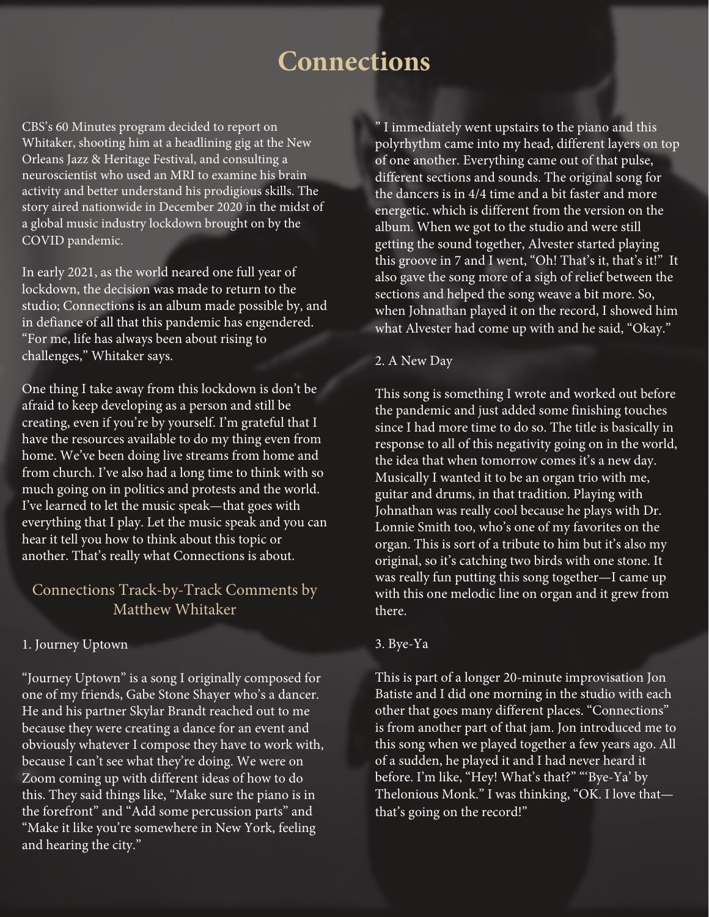CBS's 60 Minutes program decided to report on Whitaker, shooting him at a headlining gig at the New Orleans Jazz & Heritage Festival, and consulting a neuroscientist who used an MRI to examine his brain activity and better understand his prodigious skills. The story aired nationwide in December 2020 in the midst of a global music industry lockdown brought on by the COVID pandemic.

In early 2021, as the world neared one full year of lockdown, the decision was made to return to the studio; Connections is an album made possible by, and in defiance of all that this pandemic has engendered. "For me, life has always been about rising to challenges," Whitaker says.

One thing I take away from this lockdown is don't be afraid to keep developing as a person and still be creating, even if you're by yourself. I'm grateful that I have the resources available to do my thing even from home. We've been doing live streams from home and from church. I've also had a long time to think with so much going on in politics and protests and the world. I've learned to let the music speak—that goes with everything that I play. Let the music speak and you can hear it tell you how to think about this topic or another. That's really what Connections is about.

# Connections Track-by-Track Comments by Matthew Whitaker

## 1. Journey Uptown

"Journey Uptown" is a song I originally composed for one of my friends, Gabe Stone Shayer who's a dancer. He and his partner Skylar Brandt reached out to me because they were creating a dance for an event and obviously whatever I compose they have to work with, because I can't see what they're doing. We were on Zoom coming up with different ideas of how to do this. They said things like, "Make sure the piano is in the forefront" and "Add some percussion parts" and "Make it like you're somewhere in New York, feeling and hearing the city."

" I immediately went upstairs to the piano and this polyrhythm came into my head, different layers on top of one another. Everything came out of that pulse, different sections and sounds. The original song for the dancers is in 4/4 time and a bit faster and more energetic. which is different from the version on the album. When we got to the studio and were still getting the sound together, Alvester started playing this groove in 7 and I went, "Oh! That's it, that's it!" It also gave the song more of a sigh of relief between the sections and helped the song weave a bit more. So, when Johnathan played it on the record, I showed him what Alvester had come up with and he said, "Okay."

### 2. A New Day

This song is something I wrote and worked out before the pandemic and just added some finishing touches since I had more time to do so. The title is basically in response to all of this negativity going on in the world, the idea that when tomorrow comes it's a new day. Musically I wanted it to be an organ trio with me, guitar and drums, in that tradition. Playing with Johnathan was really cool because he plays with Dr. Lonnie Smith too, who's one of my favorites on the organ. This is sort of a tribute to him but it's also my original, so it's catching two birds with one stone. It was really fun putting this song together—I came up with this one melodic line on organ and it grew from there.

#### 3. Bye-Ya

This is part of a longer 20-minute improvisation Jon Batiste and I did one morning in the studio with each other that goes many different places. "Connections" is from another part of that jam. Jon introduced me to this song when we played together a few years ago. All of a sudden, he played it and I had never heard it before. I'm like, "Hey! What's that?" "'Bye-Ya' by Thelonious Monk." I was thinking, "OK. I love that that's going on the record!"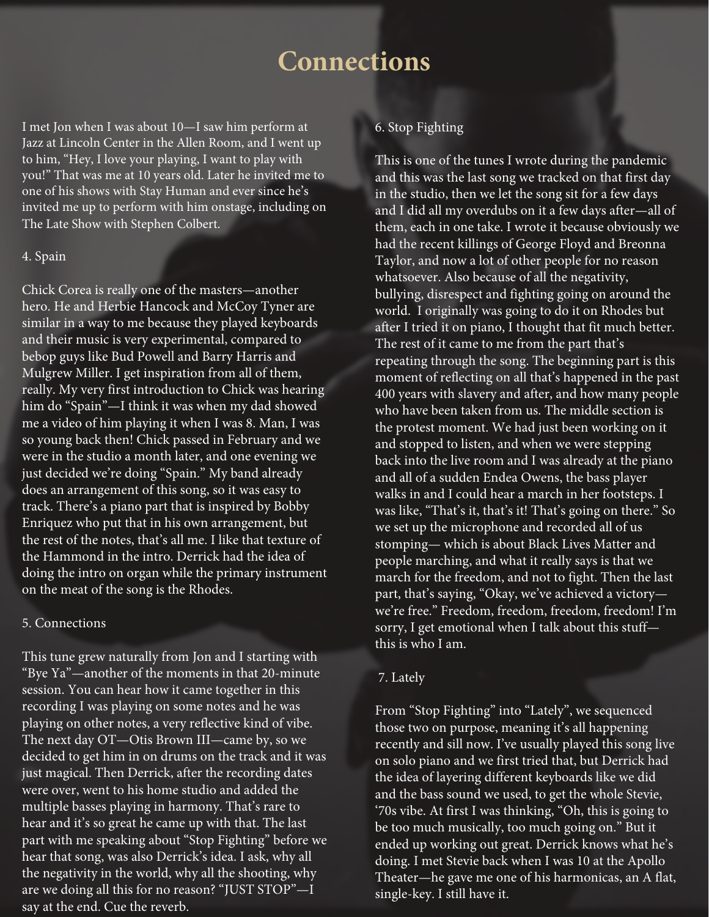I met Jon when I was about 10—I saw him perform at Jazz at Lincoln Center in the Allen Room, and I went up to him, "Hey, I love your playing, I want to play with you!" That was me at 10 years old. Later he invited me to one of his shows with Stay Human and ever since he's invited me up to perform with him onstage, including on The Late Show with Stephen Colbert.

#### 4. Spain

Chick Corea is really one of the masters—another hero. He and Herbie Hancock and McCoy Tyner are similar in a way to me because they played keyboards and their music is very experimental, compared to bebop guys like Bud Powell and Barry Harris and Mulgrew Miller. I get inspiration from all of them, really. My very first introduction to Chick was hearing him do "Spain"—I think it was when my dad showed me a video of him playing it when I was 8. Man, I was so young back then! Chick passed in February and we were in the studio a month later, and one evening we just decided we're doing "Spain." My band already does an arrangement of this song, so it was easy to track. There's a piano part that is inspired by Bobby Enriquez who put that in his own arrangement, but the rest of the notes, that's all me. I like that texture of the Hammond in the intro. Derrick had the idea of doing the intro on organ while the primary instrument on the meat of the song is the Rhodes.

### 5. Connections

This tune grew naturally from Jon and I starting with "Bye Ya"—another of the moments in that 20-minute session. You can hear how it came together in this recording I was playing on some notes and he was playing on other notes, a very reflective kind of vibe. The next day OT—Otis Brown III—came by, so we decided to get him in on drums on the track and it was just magical. Then Derrick, after the recording dates were over, went to his home studio and added the multiple basses playing in harmony. That's rare to hear and it's so great he came up with that. The last part with me speaking about "Stop Fighting" before we hear that song, was also Derrick's idea. I ask, why all the negativity in the world, why all the shooting, why are we doing all this for no reason? "JUST STOP"—I say at the end. Cue the reverb.

### 6. Stop Fighting

This is one of the tunes I wrote during the pandemic and this was the last song we tracked on that first day in the studio, then we let the song sit for a few days and I did all my overdubs on it a few days after—all of them, each in one take. I wrote it because obviously we had the recent killings of George Floyd and Breonna Taylor, and now a lot of other people for no reason whatsoever. Also because of all the negativity, bullying, disrespect and fighting going on around the world. I originally was going to do it on Rhodes but after I tried it on piano, I thought that fit much better. The rest of it came to me from the part that's repeating through the song. The beginning part is this moment of reflecting on all that's happened in the past 400 years with slavery and after, and how many people who have been taken from us. The middle section is the protest moment. We had just been working on it and stopped to listen, and when we were stepping back into the live room and I was already at the piano and all of a sudden Endea Owens, the bass player walks in and I could hear a march in her footsteps. I was like, "That's it, that's it! That's going on there." So we set up the microphone and recorded all of us stomping— which is about Black Lives Matter and people marching, and what it really says is that we march for the freedom, and not to fight. Then the last part, that's saying, "Okay, we've achieved a victory we're free." Freedom, freedom, freedom, freedom! I'm sorry, I get emotional when I talk about this stuff this is who I am.

### 7. Lately

From "Stop Fighting" into "Lately", we sequenced those two on purpose, meaning it's all happening recently and sill now. I've usually played this song live on solo piano and we first tried that, but Derrick had the idea of layering different keyboards like we did and the bass sound we used, to get the whole Stevie, '70s vibe. At first I was thinking, "Oh, this is going to be too much musically, too much going on." But it ended up working out great. Derrick knows what he's doing. I met Stevie back when I was 10 at the Apollo Theater—he gave me one of his harmonicas, an A flat, single-key. I still have it.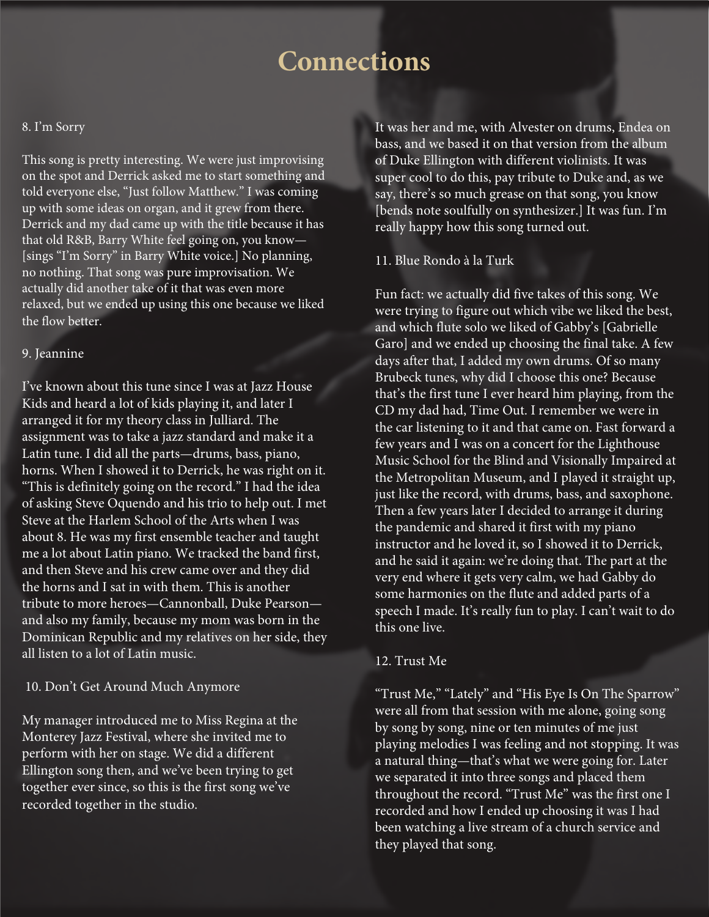#### 8. I'm Sorry

This song is pretty interesting. We were just improvising on the spot and Derrick asked me to start something and told everyone else, "Just follow Matthew." I was coming up with some ideas on organ, and it grew from there. Derrick and my dad came up with the title because it has that old R&B, Barry White feel going on, you know— [sings "I'm Sorry" in Barry White voice.] No planning, no nothing. That song was pure improvisation. We actually did another take of it that was even more relaxed, but we ended up using this one because we liked the flow better.

### 9. Jeannine

I've known about this tune since I was at Jazz House Kids and heard a lot of kids playing it, and later I arranged it for my theory class in Julliard. The assignment was to take a jazz standard and make it a Latin tune. I did all the parts—drums, bass, piano, horns. When I showed it to Derrick, he was right on it. "This is definitely going on the record." I had the idea of asking Steve Oquendo and his trio to help out. I met Steve at the Harlem School of the Arts when I was about 8. He was my first ensemble teacher and taught me a lot about Latin piano. We tracked the band first, and then Steve and his crew came over and they did the horns and I sat in with them. This is another tribute to more heroes—Cannonball, Duke Pearson and also my family, because my mom was born in the Dominican Republic and my relatives on her side, they all listen to a lot of Latin music.

### 10. Don't Get Around Much Anymore

My manager introduced me to Miss Regina at the Monterey Jazz Festival, where she invited me to perform with her on stage. We did a different Ellington song then, and we've been trying to get together ever since, so this is the first song we've recorded together in the studio.

It was her and me, with Alvester on drums, Endea on bass, and we based it on that version from the album of Duke Ellington with different violinists. It was super cool to do this, pay tribute to Duke and, as we say, there's so much grease on that song, you know [bends note soulfully on synthesizer.] It was fun. I'm really happy how this song turned out.

### 11. Blue Rondo à la Turk

Fun fact: we actually did five takes of this song. We were trying to figure out which vibe we liked the best, and which flute solo we liked of Gabby's [Gabrielle Garo] and we ended up choosing the final take. A few days after that, I added my own drums. Of so many Brubeck tunes, why did I choose this one? Because that's the first tune I ever heard him playing, from the CD my dad had, Time Out. I remember we were in the car listening to it and that came on. Fast forward a few years and I was on a concert for the Lighthouse Music School for the Blind and Visionally Impaired at the Metropolitan Museum, and I played it straight up, just like the record, with drums, bass, and saxophone. Then a few years later I decided to arrange it during the pandemic and shared it first with my piano instructor and he loved it, so I showed it to Derrick, and he said it again: we're doing that. The part at the very end where it gets very calm, we had Gabby do some harmonies on the flute and added parts of a speech I made. It's really fun to play. I can't wait to do this one live.

### 12. Trust Me

"Trust Me," "Lately" and "His Eye Is On The Sparrow" were all from that session with me alone, going song by song by song, nine or ten minutes of me just playing melodies I was feeling and not stopping. It was a natural thing—that's what we were going for. Later we separated it into three songs and placed them throughout the record. "Trust Me" was the first one I recorded and how I ended up choosing it was I had been watching a live stream of a church service and they played that song.